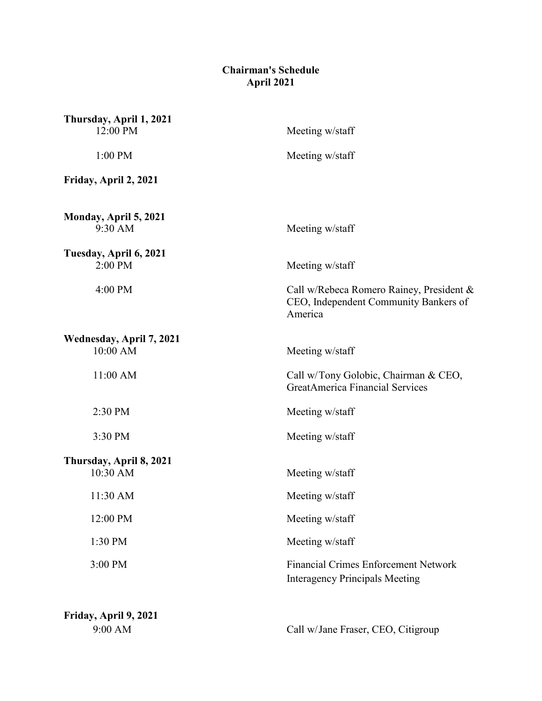## **Chairman's Schedule April 2021**

| Thursday, April 1, 2021<br>12:00 PM  | Meeting w/staff                                                                              |
|--------------------------------------|----------------------------------------------------------------------------------------------|
| 1:00 PM                              | Meeting w/staff                                                                              |
| Friday, April 2, 2021                |                                                                                              |
| Monday, April 5, 2021<br>9:30 AM     | Meeting w/staff                                                                              |
| Tuesday, April 6, 2021<br>2:00 PM    | Meeting w/staff                                                                              |
| 4:00 PM                              | Call w/Rebeca Romero Rainey, President &<br>CEO, Independent Community Bankers of<br>America |
| Wednesday, April 7, 2021<br>10:00 AM | Meeting w/staff                                                                              |
| $11:00$ AM                           | Call w/Tony Golobic, Chairman & CEO,<br><b>GreatAmerica Financial Services</b>               |
| 2:30 PM                              | Meeting w/staff                                                                              |
| 3:30 PM                              | Meeting w/staff                                                                              |
| Thursday, April 8, 2021<br>10:30 AM  | Meeting w/staff                                                                              |
| 11:30 AM                             | Meeting w/staff                                                                              |
| 12:00 PM                             | Meeting w/staff                                                                              |
| 1:30 PM                              | Meeting w/staff                                                                              |
| 3:00 PM                              | <b>Financial Crimes Enforcement Network</b><br><b>Interagency Principals Meeting</b>         |
| Friday, April 9, 2021                |                                                                                              |
| 9:00 AM                              | Call w/Jane Fraser, CEO, Citigroup                                                           |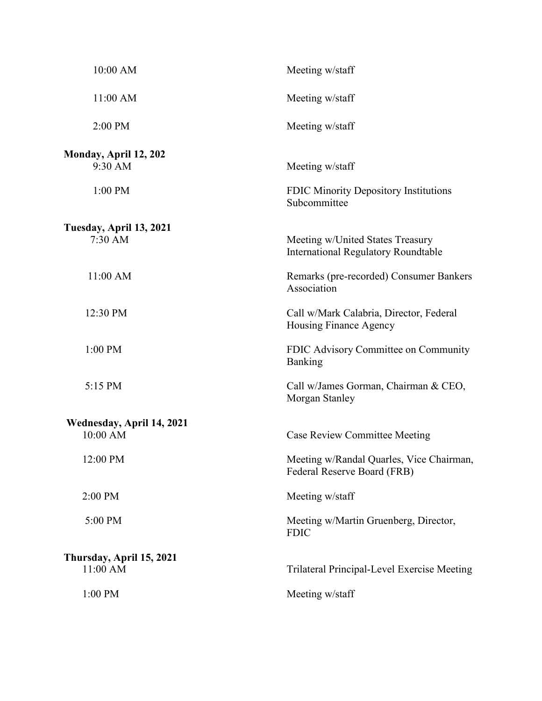| 10:00 AM                             | Meeting w/staff                                                                |
|--------------------------------------|--------------------------------------------------------------------------------|
| 11:00 AM                             | Meeting w/staff                                                                |
| 2:00 PM                              | Meeting w/staff                                                                |
| Monday, April 12, 202<br>9:30 AM     | Meeting w/staff                                                                |
| 1:00 PM                              | FDIC Minority Depository Institutions<br>Subcommittee                          |
| Tuesday, April 13, 2021<br>7:30 AM   | Meeting w/United States Treasury<br><b>International Regulatory Roundtable</b> |
| 11:00 AM                             | Remarks (pre-recorded) Consumer Bankers<br>Association                         |
| 12:30 PM                             | Call w/Mark Calabria, Director, Federal<br>Housing Finance Agency              |
| 1:00 PM                              | FDIC Advisory Committee on Community<br>Banking                                |
| 5:15 PM                              | Call w/James Gorman, Chairman & CEO,<br>Morgan Stanley                         |
| Wednesday, April 14, 2021            |                                                                                |
| 10:00 AM                             | <b>Case Review Committee Meeting</b>                                           |
| 12:00 PM                             | Meeting w/Randal Quarles, Vice Chairman,<br>Federal Reserve Board (FRB)        |
| 2:00 PM                              | Meeting w/staff                                                                |
| 5:00 PM                              | Meeting w/Martin Gruenberg, Director,<br><b>FDIC</b>                           |
| Thursday, April 15, 2021<br>11:00 AM | Trilateral Principal-Level Exercise Meeting                                    |
| 1:00 PM                              | Meeting w/staff                                                                |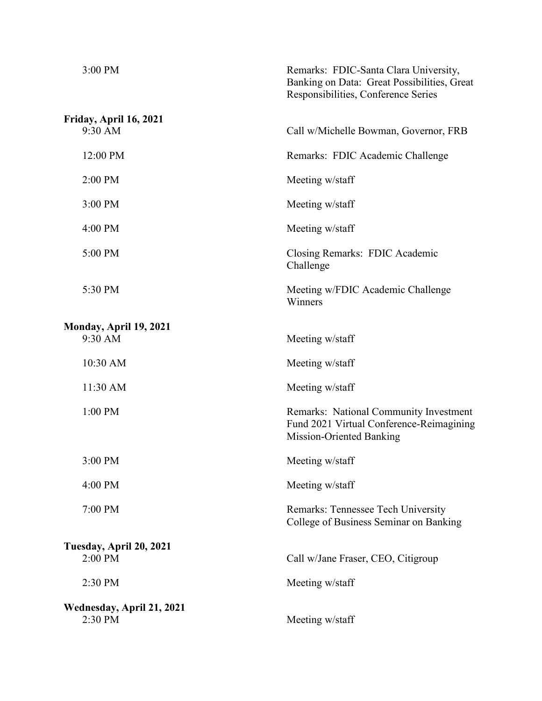| 3:00 PM                              | Remarks: FDIC-Santa Clara University,<br>Banking on Data: Great Possibilities, Great<br>Responsibilities, Conference Series |
|--------------------------------------|-----------------------------------------------------------------------------------------------------------------------------|
| Friday, April 16, 2021<br>9:30 AM    | Call w/Michelle Bowman, Governor, FRB                                                                                       |
| 12:00 PM                             | Remarks: FDIC Academic Challenge                                                                                            |
| 2:00 PM                              | Meeting w/staff                                                                                                             |
| $3:00$ PM                            | Meeting w/staff                                                                                                             |
| 4:00 PM                              | Meeting w/staff                                                                                                             |
| 5:00 PM                              | Closing Remarks: FDIC Academic<br>Challenge                                                                                 |
| 5:30 PM                              | Meeting w/FDIC Academic Challenge<br>Winners                                                                                |
| Monday, April 19, 2021               |                                                                                                                             |
| 9:30 AM                              | Meeting w/staff                                                                                                             |
| 10:30 AM                             | Meeting w/staff                                                                                                             |
| 11:30 AM                             | Meeting w/staff                                                                                                             |
| $1:00$ PM                            | Remarks: National Community Investment<br>Fund 2021 Virtual Conference-Reimagining<br>Mission-Oriented Banking              |
| 3:00 PM                              | Meeting w/staff                                                                                                             |
| 4:00 PM                              | Meeting w/staff                                                                                                             |
| 7:00 PM                              | Remarks: Tennessee Tech University<br>College of Business Seminar on Banking                                                |
| Tuesday, April 20, 2021<br>2:00 PM   | Call w/Jane Fraser, CEO, Citigroup                                                                                          |
| 2:30 PM                              | Meeting w/staff                                                                                                             |
| Wednesday, April 21, 2021<br>2:30 PM | Meeting w/staff                                                                                                             |